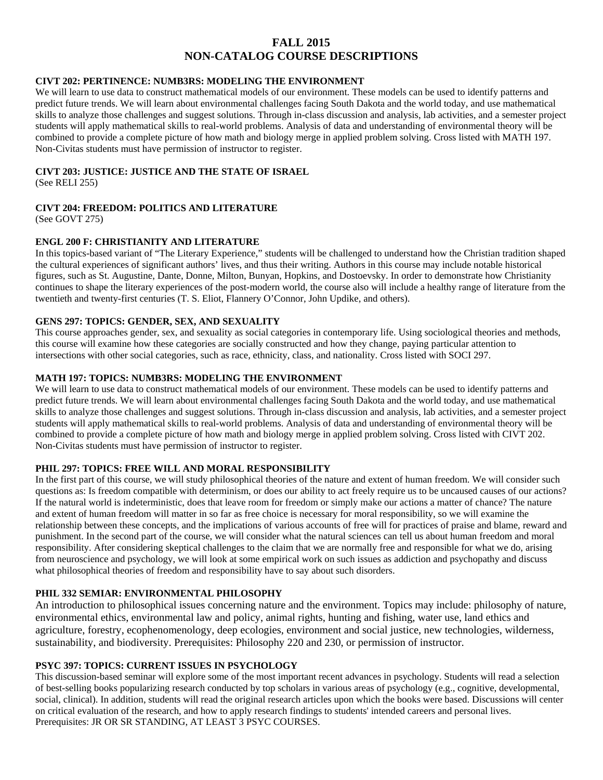# **FALL 2015 NON-CATALOG COURSE DESCRIPTIONS**

## **CIVT 202: PERTINENCE: NUMB3RS: MODELING THE ENVIRONMENT**

We will learn to use data to construct mathematical models of our environment. These models can be used to identify patterns and predict future trends. We will learn about environmental challenges facing South Dakota and the world today, and use mathematical skills to analyze those challenges and suggest solutions. Through in-class discussion and analysis, lab activities, and a semester project students will apply mathematical skills to real-world problems. Analysis of data and understanding of environmental theory will be combined to provide a complete picture of how math and biology merge in applied problem solving. Cross listed with MATH 197. Non-Civitas students must have permission of instructor to register.

#### **CIVT 203: JUSTICE: JUSTICE AND THE STATE OF ISRAEL**

(See RELI 255)

## **CIVT 204: FREEDOM: POLITICS AND LITERATURE**

(See GOVT 275)

#### **ENGL 200 F: CHRISTIANITY AND LITERATURE**

In this topics-based variant of "The Literary Experience," students will be challenged to understand how the Christian tradition shaped the cultural experiences of significant authors' lives, and thus their writing. Authors in this course may include notable historical figures, such as St. Augustine, Dante, Donne, Milton, Bunyan, Hopkins, and Dostoevsky. In order to demonstrate how Christianity continues to shape the literary experiences of the post-modern world, the course also will include a healthy range of literature from the twentieth and twenty-first centuries (T. S. Eliot, Flannery O'Connor, John Updike, and others).

#### **GENS 297: TOPICS: GENDER, SEX, AND SEXUALITY**

This course approaches gender, sex, and sexuality as social categories in contemporary life. Using sociological theories and methods, this course will examine how these categories are socially constructed and how they change, paying particular attention to intersections with other social categories, such as race, ethnicity, class, and nationality. Cross listed with SOCI 297.

#### **MATH 197: TOPICS: NUMB3RS: MODELING THE ENVIRONMENT**

We will learn to use data to construct mathematical models of our environment. These models can be used to identify patterns and predict future trends. We will learn about environmental challenges facing South Dakota and the world today, and use mathematical skills to analyze those challenges and suggest solutions. Through in-class discussion and analysis, lab activities, and a semester project students will apply mathematical skills to real-world problems. Analysis of data and understanding of environmental theory will be combined to provide a complete picture of how math and biology merge in applied problem solving. Cross listed with CIVT 202. Non-Civitas students must have permission of instructor to register.

## **PHIL 297: TOPICS: FREE WILL AND MORAL RESPONSIBILITY**

In the first part of this course, we will study philosophical theories of the nature and extent of human freedom. We will consider such questions as: Is freedom compatible with determinism, or does our ability to act freely require us to be uncaused causes of our actions? If the natural world is indeterministic, does that leave room for freedom or simply make our actions a matter of chance? The nature and extent of human freedom will matter in so far as free choice is necessary for moral responsibility, so we will examine the relationship between these concepts, and the implications of various accounts of free will for practices of praise and blame, reward and punishment. In the second part of the course, we will consider what the natural sciences can tell us about human freedom and moral responsibility. After considering skeptical challenges to the claim that we are normally free and responsible for what we do, arising from neuroscience and psychology, we will look at some empirical work on such issues as addiction and psychopathy and discuss what philosophical theories of freedom and responsibility have to say about such disorders.

## **PHIL 332 SEMIAR: ENVIRONMENTAL PHILOSOPHY**

An introduction to philosophical issues concerning nature and the environment. Topics may include: philosophy of nature, environmental ethics, environmental law and policy, animal rights, hunting and fishing, water use, land ethics and agriculture, forestry, ecophenomenology, deep ecologies, environment and social justice, new technologies, wilderness, sustainability, and biodiversity. Prerequisites: Philosophy 220 and 230, or permission of instructor.

## **PSYC 397: TOPICS: CURRENT ISSUES IN PSYCHOLOGY**

This discussion-based seminar will explore some of the most important recent advances in psychology. Students will read a selection of best-selling books popularizing research conducted by top scholars in various areas of psychology (e.g., cognitive, developmental, social, clinical). In addition, students will read the original research articles upon which the books were based. Discussions will center on critical evaluation of the research, and how to apply research findings to students' intended careers and personal lives. Prerequisites: JR OR SR STANDING, AT LEAST 3 PSYC COURSES.